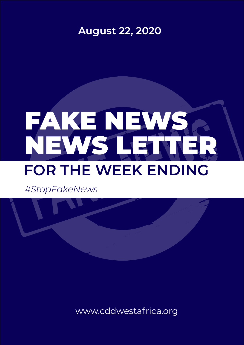## [www.cddwestafrica.org](http://www.cddwestafrica.org)

# FAKE NEWS NEWS LETTER **FOR THE WEEK ENDING**

## **August 22, 2020**

*#StopFakeNews*

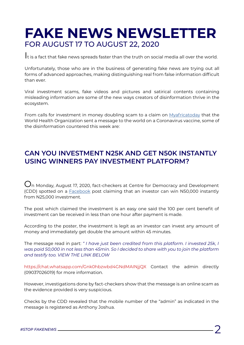

# **[FAKE NEWS NEWSLETTER](http://www.cddwestafrica.org)** [FOR AUGUST 17 TO AUGUST 22, 2020](http://www.cddwestafrica.org)

It is a fact that fake news spreads faster than the truth on social media all over the world.

Unfortunately, those who are in the business of generating fake news are trying out all forms of advanced approaches, making distinguishing real from false information difficult than ever.

Viral investment scams, fake videos and pictures and satirical contents containing misleading information are some of the new ways creators of disinformation thrive in the ecosystem.

 $O$ n Monday, August 17, 2020, fact-checkers at Centre for Democracy and Development (CDD) spotted on a [Facebook](https://www.facebook.com/groups/456622811170645/permalink/1725533237612923/) post claiming that an investor can win N50,000 instantly from N25,000 investment.

From calls for investment in money doubling scam to a claim on [Myafricatoday](https://myafricatoday.net/breaking-news-world-health-organization-sends-important-message-to-the-world-on-coronavirus-vaccine/) that the World Health Organization sent a message to the world on a Coronavirus vaccine, some of the disinformation countered this week are:

#### **[CAN YOU INVESTMENT N25K AND GET N50K INSTANTLY](https://www.cddwestafrica.org/fact-check-can-you-investment-n25k-and-get-n50k-instantly-using-winners-pay-investment-platform/)  USING WINNERS PAY INVESTMENT PLATFORM?**

The post which claimed the investment is an easy one said the 100 per cent benefit of investment can be received in less than one hour after payment is made.

According to the poster, the investment is legit as an investor can invest any amount of money and immediately get double the amount within 45 minutes.

The message read in part: *" I have just been credited from this platform. I invested 25k, I was paid 50,000 in not less than 45min. So I decided to share with you to join the platform and testify too. VIEW THE LINK BELOW*

https://chat.whatsapp.com/Gnk0hbzwbd4GNdMAINjjQX Contact the admin directly (09037026019) for more information.

However, investigations done by fact-checkers show that the message is an online scam as the evidence provided is very suspicious.

Checks by the CDD revealed that the mobile number of the "admin" as indicated in the message is registered as Anthony Joshua.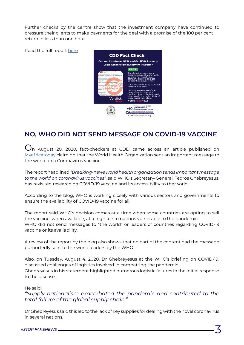*#STOP FAKENEWS* 3

#### **[NO, WHO DID NOT SEND MESSAGE ON COVID-19 VACCINE](https://www.cddwestafrica.org/fact-check-no-who-did-not-send-message-on-covid-19-vaccine/)**

On August 20, 2020, fact-checkers at CDD came across an article published on [Myafricatoday](https://myafricatoday.net/breaking-news-world-health-organization-sends-important-message-to-the-world-on-coronavirus-vaccine/) claiming that the World Health Organization sent an important message to the world on a Coronavirus vaccine.

The report headlined *"Breaking-news world health organization sends important message to the world on coronavirus vaccines",* said WHO's Secretary-General, Tedros Ghebreyesus, has revisited research on COVID-19 vaccine and its accessibility to the world.

According to the blog, WHO is working closely with various sectors and governments to ensure the availability of COVID-19 vaccine for all.

The report said WHO's decision comes at a time when some countries are opting to sell the vaccine, when available, at a high fee to nations vulnerable to the pandemic. WHO did not send messages to "the world" or leaders of countries regarding COVID-19 vaccine or its availability.

A review of the report by the blog also shows that no part of the content had the message purportedly sent to the world leaders by the WHO.

Also, on Tuesday, August 4, 2020, Dr Ghebreyesus at the WHO's briefing on COVID-19, discussed challenges of logistics involved in combatting the pandemic. Ghebreyesus in his statement highlighted numerous logistic failures in the initial response to the disease.

He said:

*"Supply nationalism exacerbated the pandemic and contributed to the total failure of the global supply chain."* 

Dr Ghebreyesus said this led to the lack of key supplies for dealing with the novel coronavirus in several nations.

Further checks by the centre show that the investment company have continued to pressure their clients to make payments for the deal with a promise of the 100 per cent return in less than one hour.

Read the full report [here](https://www.cddwestafrica.org/fact-check-can-you-investment-n25k-and-get-n50k-instantly-using-winners-pay-investment-platform/)

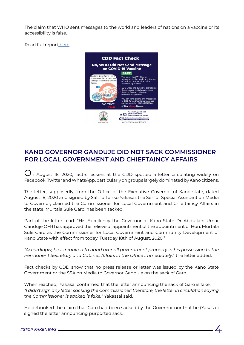



The claim that WHO sent messages to the world and leaders of nations on a vaccine or its accessibility is false.

Read full report [here](https://www.cddwestafrica.org/fact-check-no-who-did-not-send-message-on-covid-19-vaccine/)



 $\bigcup$ n August 18, 2020, fact-checkers at the CDD spotted a letter circulating widely on Facebook, Twitter and WhatsApp, particularly on groups largely dominated by Kano citizens.

The letter, supposedly from the Office of the Executive Governor of Kano state, dated August 18, 2020 and signed by Salihu Tanko Yakasai, the Senior Special Assistant on Media to Governor, claimed the Commissioner for Local Government and Chieftaincy Affairs in the state, Murtala Sule Garo, has been sacked.

Part of the letter read: "His Excellency the Governor of Kano State Dr Abdullahi Umar Ganduje OFR has approved the relieve of appointment of the appointment of Hon. Murtala Sule Garo as the Commissioner for Local Government and Community Development of Kano State with effect from today, Tuesday 18th of August, 2020."

*"Accordingly, he is required to hand over all government property in his possession to the Permanent Secretary and Cabinet Affairs in the Office immediately,*" the letter added.

Fact checks by CDD show that no press release or letter was issued by the Kano State Government or the SSA on Media to Governor Ganduje on the sack of Garo.

When reached, Yakasai confirmed that the letter announcing the sack of Garo is fake. *"I didn't sign any letter sacking the Commissioner; therefore, the letter in circulation saying the Commissioner is sacked is fake,"* Yakassai said.

He debunked the claim that Garo had been sacked by the Governor nor that he (Yakasai) signed the letter announcing purported sack.

#### **[KANO GOVERNOR GANDUJE DID NOT SACK COMMISSIONER](https://www.cddwestafrica.org/fact-check-kano-governor-ganduje-did-not-sack-commissioner-for-local-government-and-chieftaincy-affairs/)  FOR LOCAL GOVERNMENT AND CHIEFTAINCY AFFAIRS**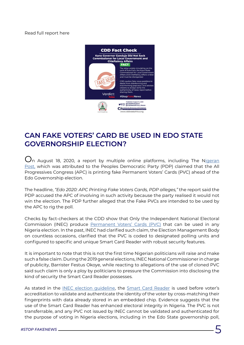*#STOP FAKENEWS* 5

Un August 18, 2020, a report by multiple online platforms, including The Nigeran [Post,](https://thenigerianpost.com.ng/2020/08/17/edo-2020-apc-printing-fake-voters-cards-pdp-alleges/) which was attributed to the Peoples Democratic Party (PDP) claimed that the All Progressives Congress (APC) is printing fake Permanent Voters' Cards (PVC) ahead of the Edo Governorship election.

The headline, *"Edo 2020: APC Printing Fake Voters Cards, PDP alleges,"* the report said the PDP accused the APC of involving in such activity because the party realised it would not win the election. The PDP further alleged that the Fake PVCs are intended to be used by the APC to rig the poll.

Checks by fact-checkers at the CDD show that Only the Independent National Electoral Commission (INEC) produce **[Permanent Voters' Cards \(PVC\)](https://inecnigeria.org/permanent-voters-card-pvc/)** that can be used in any Nigeria election. In the past, INEC had clarified such claim, the Election Management Body on countless occasions, clarified that the PVC is coded to designated polling units and configured to specific and unique Smart Card Reader with robust security features.

As stated in the **INEC** election guideline, the **[Smart Card Reader](https://pdfs.semanticscholar.org/98f2/613d15eb4baef5c7c27f772bd2831d592b60.pdf)** is used before voter's accreditation to validate and authenticate the identity of the voter by cross-matching their fingerprints with data already stored in an embedded chip. Evidence suggests that the use of the Smart Card Reader has enhanced electoral integrity in Nigeria. The PVC is not transferrable, and any PVC not issued by INEC cannot be validated and authenticated for the purpose of voting in Nigeria elections, including in the Edo State governorship poll,

It is important to note that this is not the first time Nigerian politicians will raise and make such a false claim. During the 2019 general elections, INEC National Commissioner in charge of publicity, Barrister Festus Okoye, while reacting to allegations of the use of cloned PVC said such claim is only a ploy by politicians to pressure the Commission into disclosing the kind of security the Smart Card Reader possesses.

### **[CAN FAKE VOTERS' CARD BE USED IN EDO STATE](https://www.cddwestafrica.org/fact-check-can-fake-voters-card-be-used-in-edo-state-governorship-election/)  GOVERNORSHIP ELECTION?**

Read full report here